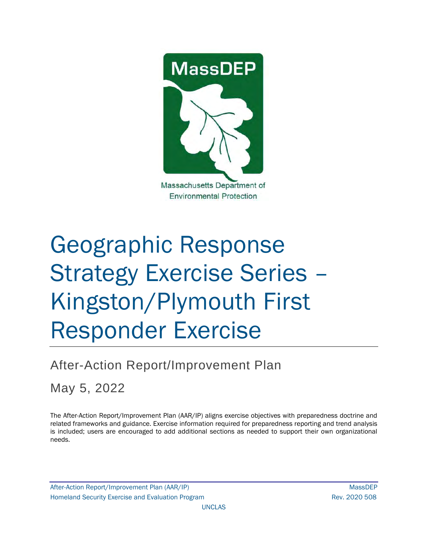

# Geographic Response Strategy Exercise Series – Kingston/Plymouth First Responder Exercise

# After-Action Report/Improvement Plan

May 5, 2022

The After-Action Report/Improvement Plan (AAR/IP) aligns exercise objectives with preparedness doctrine and related frameworks and guidance. Exercise information required for preparedness reporting and trend analysis is included; users are encouraged to add additional sections as needed to support their own organizational needs.

After-Action Report/Improvement Plan (AAR/IP) MassDEP Homeland Security Exercise and Evaluation Program News 2020 508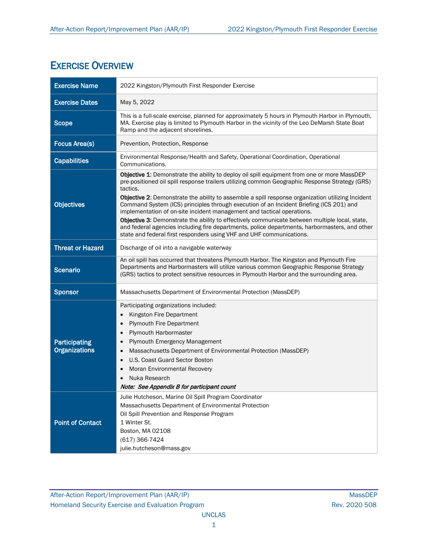## EXERCISE OVERVIEW

| <b>Exercise Name</b>                         | 2022 Kingston/Plymouth First Responder Exercise                                                                                                                                                                                                                                                                                                                                                                                                                                                                                                                                                                                                                                                                                                                |
|----------------------------------------------|----------------------------------------------------------------------------------------------------------------------------------------------------------------------------------------------------------------------------------------------------------------------------------------------------------------------------------------------------------------------------------------------------------------------------------------------------------------------------------------------------------------------------------------------------------------------------------------------------------------------------------------------------------------------------------------------------------------------------------------------------------------|
| <b>Exercise Dates</b>                        | May 5, 2022                                                                                                                                                                                                                                                                                                                                                                                                                                                                                                                                                                                                                                                                                                                                                    |
| <b>Scope</b>                                 | This is a full-scale exercise, planned for approximately 5 hours in Plymouth Harbor in Plymouth,<br>MA. Exercise play is limited to Plymouth Harbor in the vicinity of the Leo DeMarsh State Boat<br>Ramp and the adjacent shorelines.                                                                                                                                                                                                                                                                                                                                                                                                                                                                                                                         |
| <b>Focus Area(s)</b>                         | Prevention, Protection, Response                                                                                                                                                                                                                                                                                                                                                                                                                                                                                                                                                                                                                                                                                                                               |
| <b>Capabilities</b>                          | Environmental Response/Health and Safety, Operational Coordination, Operational<br>Communications.                                                                                                                                                                                                                                                                                                                                                                                                                                                                                                                                                                                                                                                             |
| <b>Objectives</b>                            | Objective 1: Demonstrate the ability to deploy oil spill equipment from one or more MassDEP<br>pre-positioned oil spill response trailers utilizing common Geographic Response Strategy (GRS)<br>tactics.<br>Objective 2: Demonstrate the ability to assemble a spill response organization utilizing Incident<br>Command System (ICS) principles through execution of an Incident Briefing (ICS 201) and<br>implementation of on-site incident management and tactical operations.<br>Objective 3: Demonstrate the ability to effectively communicate between multiple local, state,<br>and federal agencies including fire departments, police departments, harbormasters, and other<br>state and federal first responders using VHF and UHF communications. |
| <b>Threat or Hazard</b>                      | Discharge of oil into a navigable waterway                                                                                                                                                                                                                                                                                                                                                                                                                                                                                                                                                                                                                                                                                                                     |
| <b>Scenario</b>                              | An oil spill has occurred that threatens Plymouth Harbor. The Kingston and Plymouth Fire<br>Departments and Harbormasters will utilize various common Geographic Response Strategy<br>(GRS) tactics to protect sensitive resources in Plymouth Harbor and the surrounding area.                                                                                                                                                                                                                                                                                                                                                                                                                                                                                |
| <b>Sponsor</b>                               | Massachusetts Department of Environmental Protection (MassDEP)                                                                                                                                                                                                                                                                                                                                                                                                                                                                                                                                                                                                                                                                                                 |
| <b>Participating</b><br><b>Organizations</b> | Participating organizations included:<br>Kingston Fire Department<br><b>Plymouth Fire Department</b><br>$\bullet$<br>Plymouth Harbormaster<br>$\bullet$<br>Plymouth Emergency Management<br>$\bullet$<br>Massachusetts Department of Environmental Protection (MassDEP)<br>U.S. Coast Guard Sector Boston<br>Moran Environmental Recovery<br>Nuka Research<br>Note: See Appendix B for participant count                                                                                                                                                                                                                                                                                                                                                       |
| <b>Point of Contact</b>                      | Julie Hutcheson, Marine Oil Spill Program Coordinator<br>Massachusetts Department of Environmental Protection<br>Oil Spill Prevention and Response Program<br>1 Winter St.<br>Boston, MA 02108<br>(617) 366-7424<br>julie.hutcheson@mass.gov                                                                                                                                                                                                                                                                                                                                                                                                                                                                                                                   |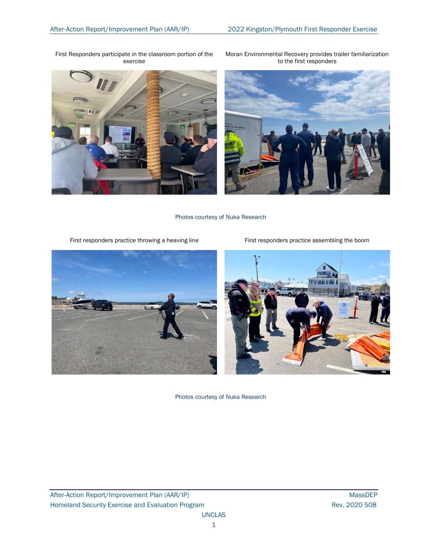First Responders participate in the classroom portion of the exercise



Moran Environmental Recovery provides trailer familiarization to the first responders



Photos courtesy of Nuka Research

First responders practice throwing a heaving line First responders practice assembling the boom





Photos courtesy of Nuka Research

After-Action Report/Improvement Plan (AAR/IP) MassDEP Homeland Security Exercise and Evaluation Program **Rev. 2020 508** Rev. 2020 508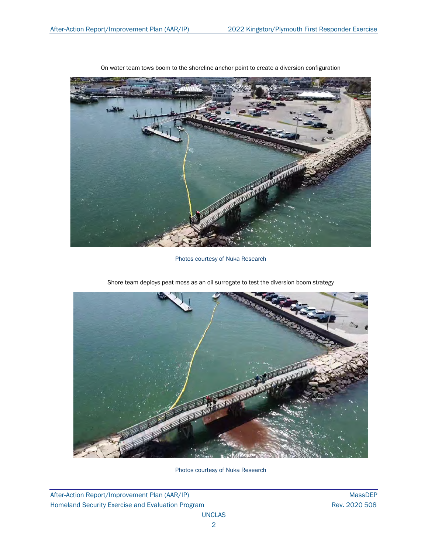

On water team tows boom to the shoreline anchor point to create a diversion configuration

Photos courtesy of Nuka Research



Shore team deploys peat moss as an oil surrogate to test the diversion boom strategy

Photos courtesy of Nuka Research

After-Action Report/Improvement Plan (AAR/IP) MassDEP Homeland Security Exercise and Evaluation Program **Rev. 2020 508** Rev. 2020 508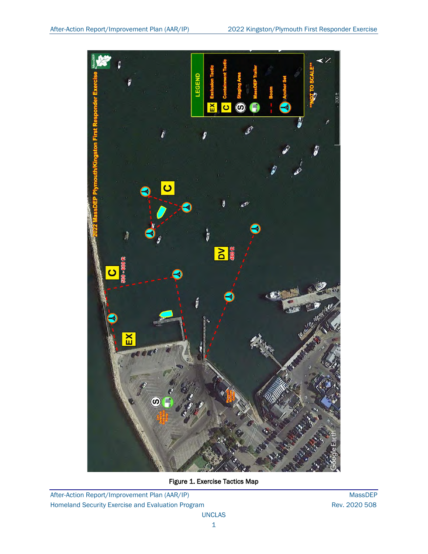

Figure 1. Exercise Tactics Map

After-Action Report/Improvement Plan (AAR/IP) MassDEP Homeland Security Exercise and Evaluation Program **Rev. 2020 508** Rev. 2020 508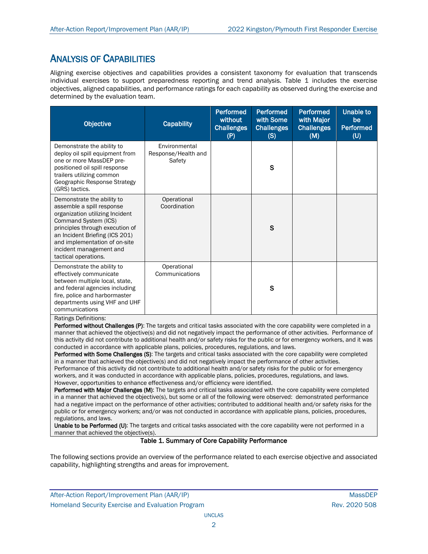## ANALYSIS OF CAPABILITIES

Aligning exercise objectives and capabilities provides a consistent taxonomy for evaluation that transcends individual exercises to support preparedness reporting and trend analysis. Table 1 includes the exercise objectives, aligned capabilities, and performance ratings for each capability as observed during the exercise and determined by the evaluation team.

| <b>Objective</b>                                                                                                                                                                                                                                                                                           | <b>Capability</b>                              | <b>Performed</b><br>without<br><b>Challenges</b><br>(P) | <b>Performed</b><br>with Some<br><b>Challenges</b><br>(S) | <b>Performed</b><br>with Major<br><b>Challenges</b><br>(M) | Unable to<br>be<br><b>Performed</b><br>(U) |
|------------------------------------------------------------------------------------------------------------------------------------------------------------------------------------------------------------------------------------------------------------------------------------------------------------|------------------------------------------------|---------------------------------------------------------|-----------------------------------------------------------|------------------------------------------------------------|--------------------------------------------|
| Demonstrate the ability to<br>deploy oil spill equipment from<br>one or more MassDEP pre-<br>positioned oil spill response<br>trailers utilizing common<br>Geographic Response Strategy<br>(GRS) tactics.                                                                                                  | Environmental<br>Response/Health and<br>Safety |                                                         | S                                                         |                                                            |                                            |
| Operational<br>Demonstrate the ability to<br>Coordination<br>assemble a spill response<br>organization utilizing Incident<br>Command System (ICS)<br>principles through execution of<br>an Incident Briefing (ICS 201)<br>and implementation of on-site<br>incident management and<br>tactical operations. |                                                |                                                         | $\mathsf{s}$                                              |                                                            |                                            |
| Demonstrate the ability to<br>effectively communicate<br>between multiple local, state,<br>and federal agencies including<br>fire, police and harbormaster<br>departments using VHF and UHF<br>communications<br>Ratings Definitions:                                                                      | Operational<br>Communications                  |                                                         | S                                                         |                                                            |                                            |

Performed without Challenges (P): The targets and critical tasks associated with the core capability were completed in a manner that achieved the objective(s) and did not negatively impact the performance of other activities. Performance of this activity did not contribute to additional health and/or safety risks for the public or for emergency workers, and it was conducted in accordance with applicable plans, policies, procedures, regulations, and laws.

Performed with Some Challenges (S): The targets and critical tasks associated with the core capability were completed in a manner that achieved the objective(s) and did not negatively impact the performance of other activities. Performance of this activity did not contribute to additional health and/or safety risks for the public or for emergency workers, and it was conducted in accordance with applicable plans, policies, procedures, regulations, and laws. However, opportunities to enhance effectiveness and/or efficiency were identified.

Performed with Major Challenges (M): The targets and critical tasks associated with the core capability were completed in a manner that achieved the objective(s), but some or all of the following were observed: demonstrated performance had a negative impact on the performance of other activities; contributed to additional health and/or safety risks for the public or for emergency workers; and/or was not conducted in accordance with applicable plans, policies, procedures, regulations, and laws.

Unable to be Performed (U): The targets and critical tasks associated with the core capability were not performed in a manner that achieved the objective(s).

#### Table 1. Summary of Core Capability Performance

The following sections provide an overview of the performance related to each exercise objective and associated capability, highlighting strengths and areas for improvement.

After-Action Report/Improvement Plan (AAR/IP) NassDEP After-Action Report/Improvement Plan (AAR/IP) Homeland Security Exercise and Evaluation Program **Rev. 2020 508** Rev. 2020 508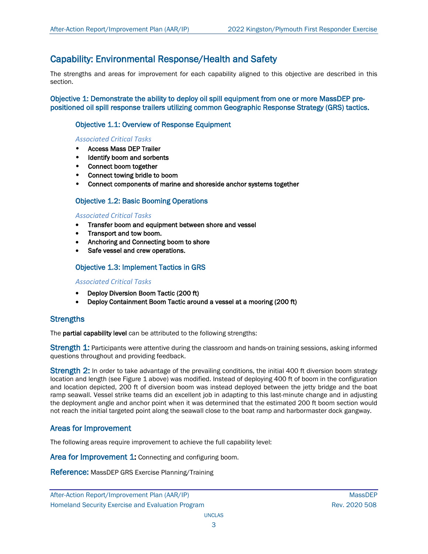## Capability: Environmental Response/Health and Safety

The strengths and areas for improvement for each capability aligned to this objective are described in this section.

Objective 1: Demonstrate the ability to deploy oil spill equipment from one or more MassDEP prepositioned oil spill response trailers utilizing common Geographic Response Strategy (GRS) tactics.

### Objective 1.1: Overview of Response Equipment

#### *Associated Critical Tasks*

- Access Mass DEP Trailer
- Identify boom and sorbents
- Connect boom together
- Connect towing bridle to boom
- Connect components of marine and shoreside anchor systems together

## Objective 1.2: Basic Booming Operations

#### *Associated Critical Tasks*

- Transfer boom and equipment between shore and vessel
- Transport and tow boom.
- Anchoring and Connecting boom to shore
- Safe vessel and crew operations.

## Objective 1.3: Implement Tactics in GRS

#### *Associated Critical Tasks*

- Deploy Diversion Boom Tactic (200 ft)
- Deploy Containment Boom Tactic around a vessel at a mooring (200 ft)

#### **Strengths**

The **partial capability level** can be attributed to the following strengths:

Strength 1: Participants were attentive during the classroom and hands-on training sessions, asking informed questions throughout and providing feedback.

Strength 2: In order to take advantage of the prevailing conditions, the initial 400 ft diversion boom strategy location and length (see Figure 1 above) was modified. Instead of deploying 400 ft of boom in the configuration and location depicted, 200 ft of diversion boom was instead deployed between the jetty bridge and the boat ramp seawall. Vessel strike teams did an excellent job in adapting to this last-minute change and in adjusting the deployment angle and anchor point when it was determined that the estimated 200 ft boom section would not reach the initial targeted point along the seawall close to the boat ramp and harbormaster dock gangway.

## Areas for Improvement

The following areas require improvement to achieve the full capability level:

Area for Improvement 1: Connecting and configuring boom.

Reference: MassDEP GRS Exercise Planning/Training

After-Action Report/Improvement Plan (AAR/IP) NassDEP After-Action Report/Improvement Plan (AAR/IP) Homeland Security Exercise and Evaluation Program **Rev. 2020 508** Rev. 2020 508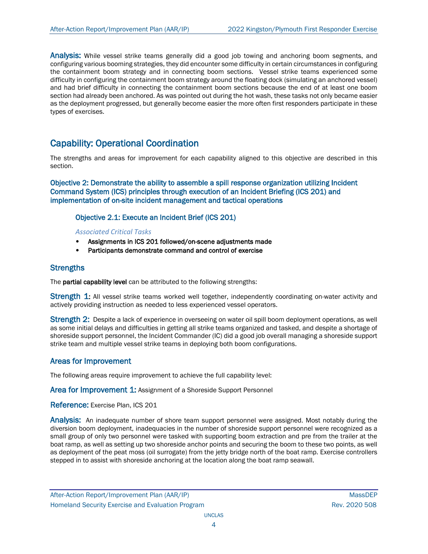Analysis: While vessel strike teams generally did a good job towing and anchoring boom segments, and configuring various booming strategies, they did encounter some difficulty in certain circumstances in configuring the containment boom strategy and in connecting boom sections. Vessel strike teams experienced some difficulty in configuring the containment boom strategy around the floating dock (simulating an anchored vessel) and had brief difficulty in connecting the containment boom sections because the end of at least one boom section had already been anchored. As was pointed out during the hot wash, these tasks not only became easier as the deployment progressed, but generally become easier the more often first responders participate in these types of exercises.

## Capability: Operational Coordination

The strengths and areas for improvement for each capability aligned to this objective are described in this section.

Objective 2: Demonstrate the ability to assemble a spill response organization utilizing Incident Command System (ICS) principles through execution of an Incident Briefing (ICS 201) and implementation of on-site incident management and tactical operations

## Objective 2.1: Execute an Incident Brief (ICS 201)

#### *Associated Critical Tasks*

- Assignments in ICS 201 followed/on-scene adjustments made
- Participants demonstrate command and control of exercise

## **Strengths**

The partial capability level can be attributed to the following strengths:

Strength 1: All vessel strike teams worked well together, independently coordinating on-water activity and actively providing instruction as needed to less experienced vessel operators.

Strength 2: Despite a lack of experience in overseeing on water oil spill boom deployment operations, as well as some initial delays and difficulties in getting all strike teams organized and tasked, and despite a shortage of shoreside support personnel, the Incident Commander (IC) did a good job overall managing a shoreside support strike team and multiple vessel strike teams in deploying both boom configurations.

## Areas for Improvement

The following areas require improvement to achieve the full capability level:

Area for Improvement 1: Assignment of a Shoreside Support Personnel

Reference: Exercise Plan, ICS 201

Analysis: An inadequate number of shore team support personnel were assigned. Most notably during the diversion boom deployment, inadequacies in the number of shoreside support personnel were recognized as a small group of only two personnel were tasked with supporting boom extraction and pre from the trailer at the boat ramp, as well as setting up two shoreside anchor points and securing the boom to these two points, as well as deployment of the peat moss (oil surrogate) from the jetty bridge north of the boat ramp. Exercise controllers stepped in to assist with shoreside anchoring at the location along the boat ramp seawall.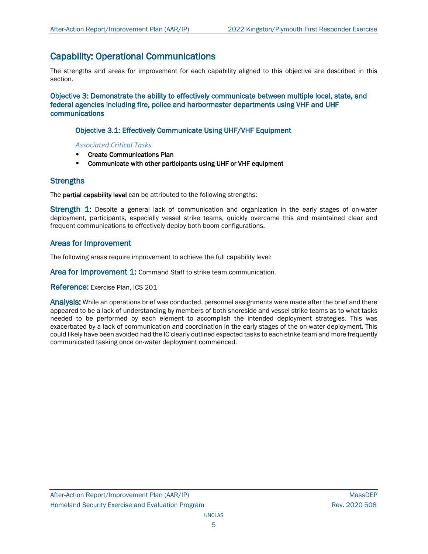## Capability: Operational Communications

The strengths and areas for improvement for each capability aligned to this objective are described in this section.

Objective 3: Demonstrate the ability to effectively communicate between multiple local, state, and federal agencies including fire, police and harbormaster departments using VHF and UHF communications

## Objective 3.1: Effectively Communicate Using UHF/VHF Equipment

*Associated Critical Tasks*

- Create Communications Plan
- Communicate with other participants using UHF or VHF equipment

## **Strengths**

The partial capability level can be attributed to the following strengths:

**Strength 1:** Despite a general lack of communication and organization in the early stages of on-water deployment, participants, especially vessel strike teams, quickly overcame this and maintained clear and frequent communications to effectively deploy both boom configurations.

## Areas for Improvement

The following areas require improvement to achieve the full capability level:

Area for Improvement 1: Command Staff to strike team communication.

Reference: Exercise Plan, ICS 201

Analysis: While an operations brief was conducted, personnel assignments were made after the brief and there appeared to be a lack of understanding by members of both shoreside and vessel strike teams as to what tasks needed to be performed by each element to accomplish the intended deployment strategies. This was exacerbated by a lack of communication and coordination in the early stages of the on-water deployment. This could likely have been avoided had the IC clearly outlined expected tasks to each strike team and more frequently communicated tasking once on-water deployment commenced.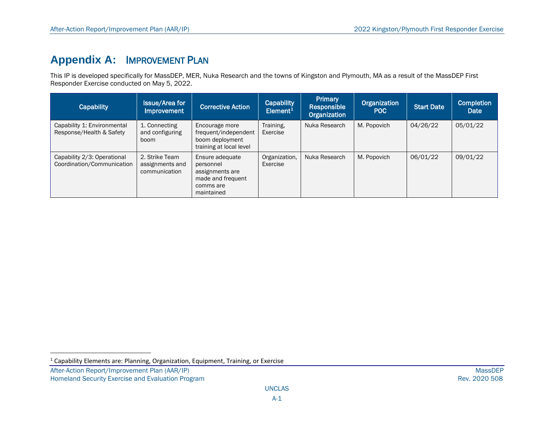# <span id="page-9-0"></span>**Appendix A:** IMPROVEMENT PLAN

This IP is developed specifically for MassDEP, MER, Nuka Research and the towns of Kingston and Plymouth, MA as a result of the MassDEP First Responder Exercise conducted on May 5, 2022.

| <b>Capability</b>                                         | <b>Issue/Area for</b><br><b>Improvement</b>        | <b>Corrective Action</b>                                                                        | Capability<br>Element <sup>1</sup> | <b>Primary</b><br>Responsible<br>Organization | Organization<br>POC | <b>Start Date</b> | <b>Completion</b><br>Date |
|-----------------------------------------------------------|----------------------------------------------------|-------------------------------------------------------------------------------------------------|------------------------------------|-----------------------------------------------|---------------------|-------------------|---------------------------|
| Capability 1: Environmental<br>Response/Health & Safety   | 1. Connecting<br>and configuring<br>boom           | Encourage more<br>frequent/independent<br>boom deployment<br>training at local level            | Training,<br>Exercise              | Nuka Research                                 | M. Popovich         | 04/26/22          | 05/01/22                  |
| Capability 2/3: Operational<br>Coordination/Communication | 2. Strike Team<br>assignments and<br>communication | Ensure adequate<br>personnel<br>assignments are<br>made and frequent<br>comms are<br>maintained | Organization,<br>Exercise          | Nuka Research                                 | M. Popovich         | 06/01/22          | 09/01/22                  |

 $1$  Capability Elements are: Planning, Organization, Equipment, Training, or Exercise

After-Action Report/Improvement Plan (AAR/IP) MassDEP<br>Homeland Security Exercise and Evaluation Program and the state of the state of the state of the state of the Rev. 2020 508 Homeland Security Exercise and Evaluation Program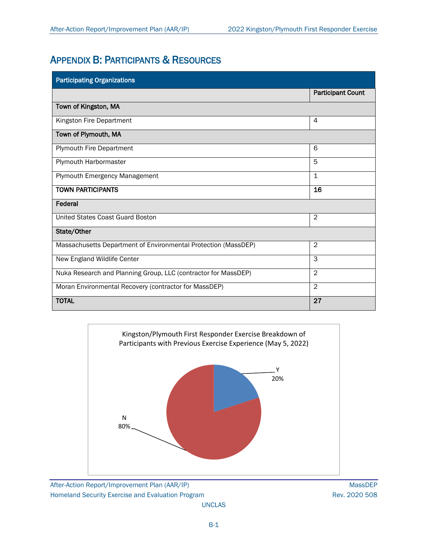## APPENDIX B: PARTICIPANTS & RESOURCES

| <b>Participating Organizations</b>                             |                          |  |  |  |
|----------------------------------------------------------------|--------------------------|--|--|--|
|                                                                | <b>Participant Count</b> |  |  |  |
| Town of Kingston, MA                                           |                          |  |  |  |
| Kingston Fire Department                                       | 4                        |  |  |  |
| Town of Plymouth, MA                                           |                          |  |  |  |
| <b>Plymouth Fire Department</b>                                | 6                        |  |  |  |
| Plymouth Harbormaster                                          | 5                        |  |  |  |
| Plymouth Emergency Management                                  | 1                        |  |  |  |
| <b>TOWN PARTICIPANTS</b>                                       | 16                       |  |  |  |
| Federal                                                        |                          |  |  |  |
| United States Coast Guard Boston                               | $\overline{2}$           |  |  |  |
| State/Other                                                    |                          |  |  |  |
| Massachusetts Department of Environmental Protection (MassDEP) | $\overline{2}$           |  |  |  |
| New England Wildlife Center                                    | 3                        |  |  |  |
| Nuka Research and Planning Group, LLC (contractor for MassDEP) | $\overline{2}$           |  |  |  |
| Moran Environmental Recovery (contractor for MassDEP)          | $\overline{2}$           |  |  |  |
| <b>TOTAL</b>                                                   | 27                       |  |  |  |

![](_page_10_Figure_4.jpeg)

After-Action Report/Improvement Plan (AAR/IP) MassDEP Homeland Security Exercise and Evaluation Program **Rev. 2020 508** Rev. 2020 508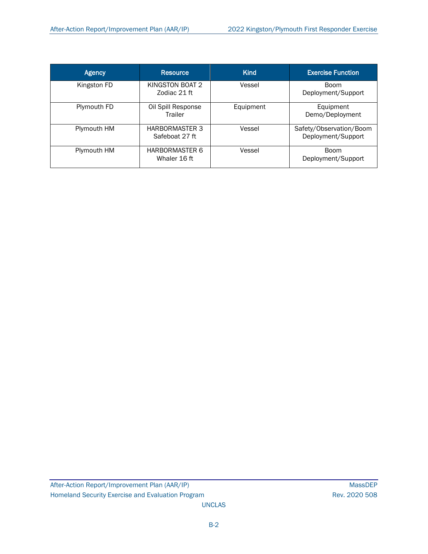| Agency      | <b>Resource</b>                         | <b>Kind</b> | <b>Exercise Function</b>                      |
|-------------|-----------------------------------------|-------------|-----------------------------------------------|
| Kingston FD | KINGSTON BOAT 2<br>Zodiac 21 ft         | Vessel      | <b>Boom</b><br>Deployment/Support             |
| Plymouth FD | Oil Spill Response<br>Trailer           | Equipment   | Equipment<br>Demo/Deployment                  |
| Plymouth HM | <b>HARBORMASTER 3</b><br>Safeboat 27 ft | Vessel      | Safety/Observation/Boom<br>Deployment/Support |
| Plymouth HM | <b>HARBORMASTER 6</b><br>Whaler 16 ft   | Vessel      | <b>Boom</b><br>Deployment/Support             |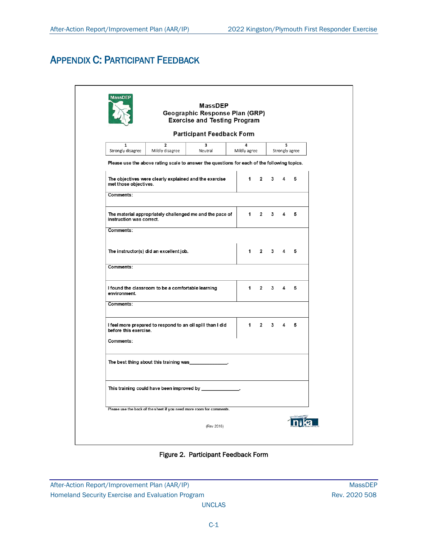# APPENDIX C: PARTICIPANT FEEDBACK

|                                                                                                                         |                                                    | MassDEP<br>Geographic Response Plan (GRP)<br><b>Exercise and Testing Program</b>            |  |              |                |   |   |   |  |
|-------------------------------------------------------------------------------------------------------------------------|----------------------------------------------------|---------------------------------------------------------------------------------------------|--|--------------|----------------|---|---|---|--|
|                                                                                                                         |                                                    | <b>Participant Feedback Form</b>                                                            |  |              |                |   |   |   |  |
| $\overline{2}$<br>3<br>1<br>4<br>5<br>Mildly disagree<br>Strongly disagree<br>Neutral<br>Mildly agree<br>Strongly agree |                                                    |                                                                                             |  |              |                |   |   |   |  |
|                                                                                                                         |                                                    | Please use the above rating scale to answer the questions for each of the following topics. |  |              |                |   |   |   |  |
| met those objectives.                                                                                                   |                                                    | The objectives were clearly explained and the exercise                                      |  | 1            | $\overline{2}$ | 3 | 4 | 5 |  |
| Comments:                                                                                                               |                                                    |                                                                                             |  |              |                |   |   |   |  |
| instruction was correct.                                                                                                |                                                    | The material appropriately challenged me and the pace of                                    |  | $\mathbf 1$  | $\overline{2}$ | 3 | 4 | 5 |  |
| Comments:                                                                                                               |                                                    |                                                                                             |  |              |                |   |   |   |  |
|                                                                                                                         | The instructor(s) did an excellent job.            |                                                                                             |  | 1            | $\mathbf{2}$   | 3 | 4 | 5 |  |
| Comments:                                                                                                               |                                                    |                                                                                             |  |              |                |   |   |   |  |
| environment.                                                                                                            | I found the classroom to be a comfortable learning |                                                                                             |  | $\mathbf{1}$ | $\overline{2}$ | 3 | 4 | 5 |  |
| Comments:                                                                                                               |                                                    |                                                                                             |  |              |                |   |   |   |  |
| before this exercise.                                                                                                   |                                                    | I feel more prepared to respond to an oil spill than I did                                  |  | 1            | $\overline{2}$ | 3 | 4 | 5 |  |
| Comments:                                                                                                               |                                                    |                                                                                             |  |              |                |   |   |   |  |
|                                                                                                                         |                                                    | The best thing about this training was ______________.                                      |  |              |                |   |   |   |  |
|                                                                                                                         |                                                    |                                                                                             |  |              |                |   |   |   |  |
|                                                                                                                         |                                                    | Please use the back of the sheet if you need more room for comments.                        |  |              |                |   |   |   |  |
|                                                                                                                         |                                                    | (Rev 2016)                                                                                  |  |              |                |   |   |   |  |

Figure 2. Participant Feedback Form

After-Action Report/Improvement Plan (AAR/IP) MassDEP Homeland Security Exercise and Evaluation Program **Rev. 2020 508** Rev. 2020 508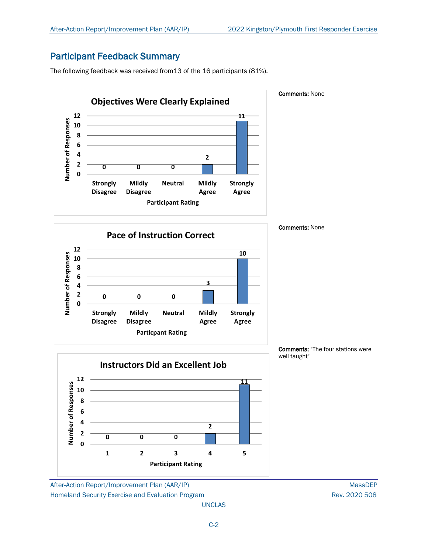## Participant Feedback Summary

The following feedback was received from13 of the 16 participants (81%).

![](_page_13_Figure_4.jpeg)

**Instructors Did an Excellent Job12 11** Number of Responses **Number of Responses 10 8 6 4 2 2 0 0 0 0 1 2 3 4 5 Participant Rating**

After-Action Report/Improvement Plan (AAR/IP) MassDEP Homeland Security Exercise and Evaluation Program **Rev. 2020 508** Rev. 2020 508